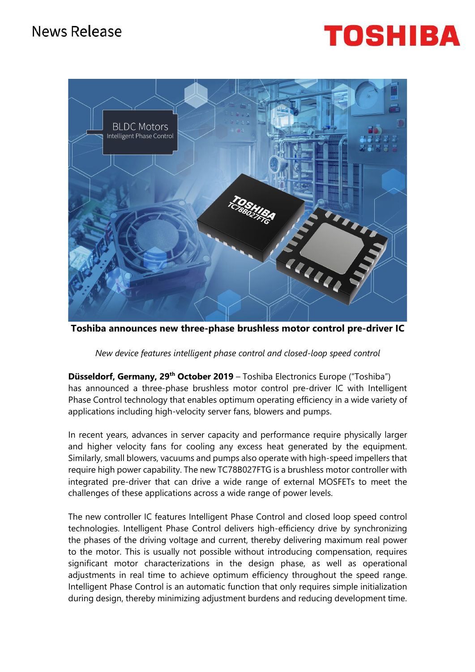## TOSHIBA



**Toshiba announces new three-phase brushless motor control pre-driver IC**

*New device features intelligent phase control and closed-loop speed control*

**Düsseldorf, Germany, 29th October 2019** – Toshiba Electronics Europe ("Toshiba") has announced a three-phase brushless motor control pre-driver IC with Intelligent Phase Control technology that enables optimum operating efficiency in a wide variety of applications including high-velocity server fans, blowers and pumps.

In recent years, advances in server capacity and performance require physically larger and higher velocity fans for cooling any excess heat generated by the equipment. Similarly, small blowers, vacuums and pumps also operate with high-speed impellers that require high power capability. The new TC78B027FTG is a brushless motor controller with integrated pre-driver that can drive a wide range of external MOSFETs to meet the challenges of these applications across a wide range of power levels.

The new controller IC features Intelligent Phase Control and closed loop speed control technologies. Intelligent Phase Control delivers high-efficiency drive by synchronizing the phases of the driving voltage and current, thereby delivering maximum real power to the motor. This is usually not possible without introducing compensation, requires significant motor characterizations in the design phase, as well as operational adjustments in real time to achieve optimum efficiency throughout the speed range. Intelligent Phase Control is an automatic function that only requires simple initialization during design, thereby minimizing adjustment burdens and reducing development time.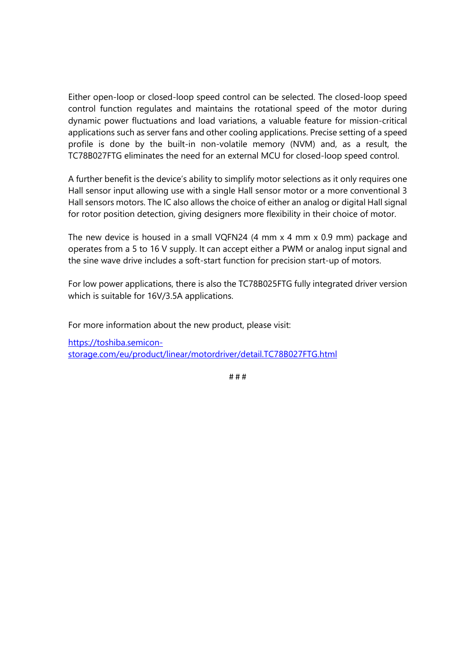Either open-loop or closed-loop speed control can be selected. The closed-loop speed control function regulates and maintains the rotational speed of the motor during dynamic power fluctuations and load variations, a valuable feature for mission-critical applications such as server fans and other cooling applications. Precise setting of a speed profile is done by the built-in non-volatile memory (NVM) and, as a result, the TC78B027FTG eliminates the need for an external MCU for closed-loop speed control.

A further benefit is the device's ability to simplify motor selections as it only requires one Hall sensor input allowing use with a single Hall sensor motor or a more conventional 3 Hall sensors motors. The IC also allows the choice of either an analog or digital Hall signal for rotor position detection, giving designers more flexibility in their choice of motor.

The new device is housed in a small VQFN24 (4 mm x 4 mm x 0.9 mm) package and operates from a 5 to 16 V supply. It can accept either a PWM or analog input signal and the sine wave drive includes a soft-start function for precision start-up of motors.

For low power applications, there is also the TC78B025FTG fully integrated driver version which is suitable for 16V/3.5A applications.

For more information about the new product, please visit:

[https://toshiba.semicon](https://toshiba.semicon-storage.com/eu/product/linear/motordriver/detail.TC78B027FTG.html)[storage.com/eu/product/linear/motordriver/detail.TC78B027FTG.html](https://toshiba.semicon-storage.com/eu/product/linear/motordriver/detail.TC78B027FTG.html)

# # #